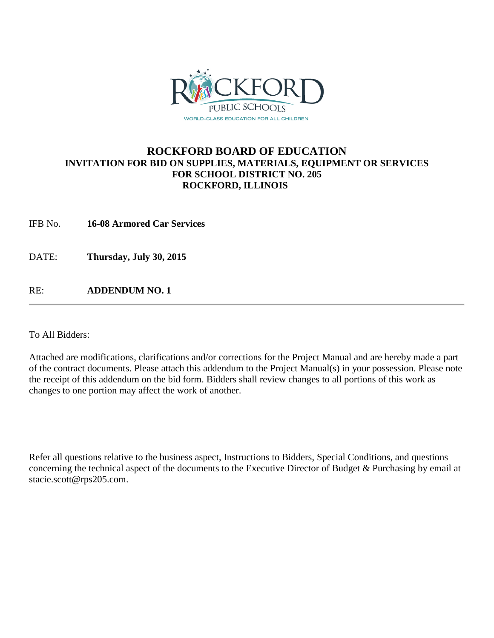

#### **ROCKFORD BOARD OF EDUCATION INVITATION FOR BID ON SUPPLIES, MATERIALS, EQUIPMENT OR SERVICES FOR SCHOOL DISTRICT NO. 205 ROCKFORD, ILLINOIS**

IFB No. **16-08 Armored Car Services**

DATE: **Thursday, July 30, 2015**

RE: **ADDENDUM NO. 1**

To All Bidders:

Attached are modifications, clarifications and/or corrections for the Project Manual and are hereby made a part of the contract documents. Please attach this addendum to the Project Manual(s) in your possession. Please note the receipt of this addendum on the bid form. Bidders shall review changes to all portions of this work as changes to one portion may affect the work of another.

Refer all questions relative to the business aspect, Instructions to Bidders, Special Conditions, and questions concerning the technical aspect of the documents to the Executive Director of Budget & Purchasing by email at stacie.scott@rps205.com.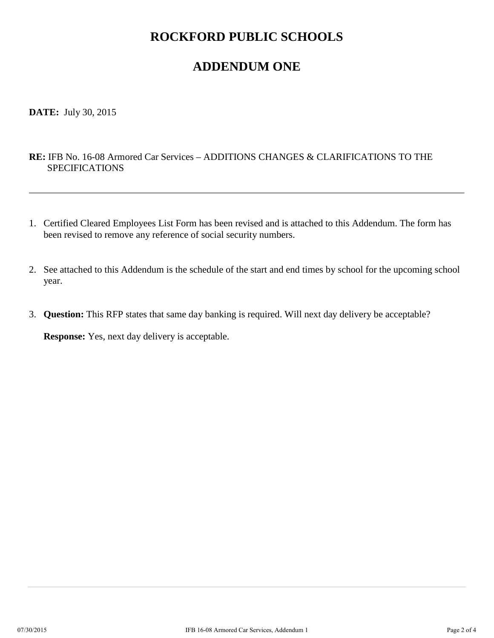## **ROCKFORD PUBLIC SCHOOLS**

## **ADDENDUM ONE**

**DATE:** July 30, 2015

#### **RE:** IFB No. 16-08 Armored Car Services – ADDITIONS CHANGES & CLARIFICATIONS TO THE SPECIFICATIONS

- 1. Certified Cleared Employees List Form has been revised and is attached to this Addendum. The form has been revised to remove any reference of social security numbers.
- 2. See attached to this Addendum is the schedule of the start and end times by school for the upcoming school year.
- 3. **Question:** This RFP states that same day banking is required. Will next day delivery be acceptable?

**Response:** Yes, next day delivery is acceptable.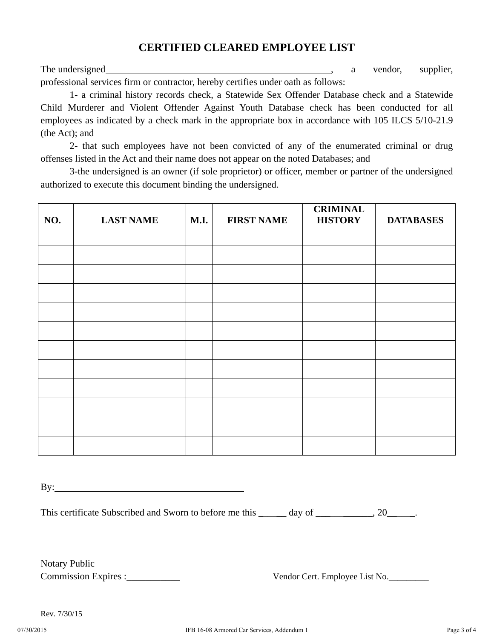### **CERTIFIED CLEARED EMPLOYEE LIST**

The undersigned and the undersigned and the understanding a vendor, supplier, a vendor, supplier, professional services firm or contractor, hereby certifies under oath as follows:

 1- a criminal history records check, a Statewide Sex Offender Database check and a Statewide Child Murderer and Violent Offender Against Youth Database check has been conducted for all employees as indicated by a check mark in the appropriate box in accordance with 105 ILCS 5/10-21.9 (the Act); and

 2- that such employees have not been convicted of any of the enumerated criminal or drug offenses listed in the Act and their name does not appear on the noted Databases; and

 3-the undersigned is an owner (if sole proprietor) or officer, member or partner of the undersigned authorized to execute this document binding the undersigned.

| NO. | <b>LAST NAME</b> | <b>M.I.</b> | <b>FIRST NAME</b> | <b>CRIMINAL</b><br><b>HISTORY</b> | <b>DATABASES</b> |
|-----|------------------|-------------|-------------------|-----------------------------------|------------------|
|     |                  |             |                   |                                   |                  |
|     |                  |             |                   |                                   |                  |
|     |                  |             |                   |                                   |                  |
|     |                  |             |                   |                                   |                  |
|     |                  |             |                   |                                   |                  |
|     |                  |             |                   |                                   |                  |
|     |                  |             |                   |                                   |                  |
|     |                  |             |                   |                                   |                  |
|     |                  |             |                   |                                   |                  |
|     |                  |             |                   |                                   |                  |
|     |                  |             |                   |                                   |                  |
|     |                  |             |                   |                                   |                  |
|     |                  |             |                   |                                   |                  |

By:

This certificate Subscribed and Sworn to before me this \_\_\_\_\_\_ day of \_\_\_\_\_\_\_\_\_, 20\_\_\_\_\_.

Notary Public

Commission Expires :\_\_\_\_\_\_\_\_\_\_\_ Vendor Cert. Employee List No.\_\_\_\_\_\_\_\_\_

Rev. 7/30/15